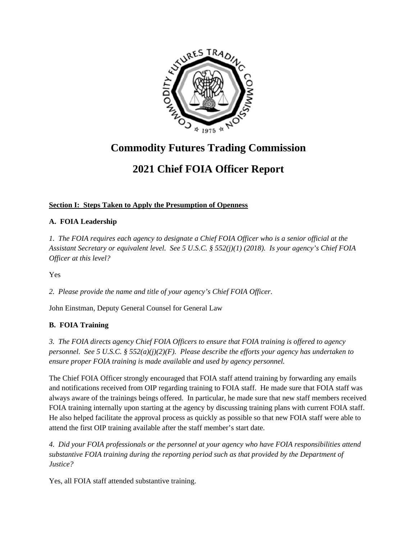

# **Commodity Futures Trading Commission**

## **2021 Chief FOIA Officer Report**

## **Section I: Steps Taken to Apply the Presumption of Openness**

#### **A. FOIA Leadership**

*1. The FOIA requires each agency to designate a Chief FOIA Officer who is a senior official at the Assistant Secretary or equivalent level. See 5 U.S.C. § 552(j)(1) (2018). Is your agency's Chief FOIA Officer at this level?* 

Yes

*2. Please provide the name and title of your agency's Chief FOIA Officer.* 

John Einstman, Deputy General Counsel for General Law

#### **B. FOIA Training**

*3. The FOIA directs agency Chief FOIA Officers to ensure that FOIA training is offered to agency personnel. See 5 U.S.C. § 552(a)(j)(2)(F). Please describe the efforts your agency has undertaken to ensure proper FOIA training is made available and used by agency personnel.* 

The Chief FOIA Officer strongly encouraged that FOIA staff attend training by forwarding any emails and notifications received from OIP regarding training to FOIA staff. He made sure that FOIA staff was always aware of the trainings beings offered. In particular, he made sure that new staff members received FOIA training internally upon starting at the agency by discussing training plans with current FOIA staff. He also helped facilitate the approval process as quickly as possible so that new FOIA staff were able to attend the first OIP training available after the staff member's start date.

*4. Did your FOIA professionals or the personnel at your agency who have FOIA responsibilities attend substantive FOIA training during the reporting period such as that provided by the Department of Justice?* 

Yes, all FOIA staff attended substantive training.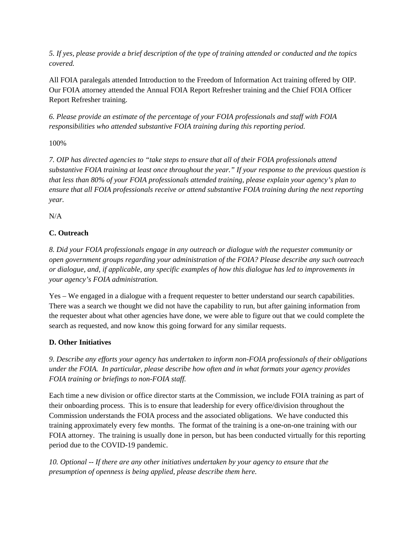*5. If yes, please provide a brief description of the type of training attended or conducted and the topics covered.* 

All FOIA paralegals attended Introduction to the Freedom of Information Act training offered by OIP. Our FOIA attorney attended the Annual FOIA Report Refresher training and the Chief FOIA Officer Report Refresher training.

*6. Please provide an estimate of the percentage of your FOIA professionals and staff with FOIA responsibilities who attended substantive FOIA training during this reporting period.* 

100%

*7. OIP has directed agencies to "take steps to ensure that all of their FOIA professionals attend substantive FOIA training at least once throughout the year." If your response to the previous question is that less than 80% of your FOIA professionals attended training, please explain your agency's plan to ensure that all FOIA professionals receive or attend substantive FOIA training during the next reporting year.* 

 $N/A$ 

## **C. Outreach**

*8. Did your FOIA professionals engage in any outreach or dialogue with the requester community or open government groups regarding your administration of the FOIA? Please describe any such outreach or dialogue, and, if applicable, any specific examples of how this dialogue has led to improvements in your agency's FOIA administration.* 

Yes – We engaged in a dialogue with a frequent requester to better understand our search capabilities. There was a search we thought we did not have the capability to run, but after gaining information from the requester about what other agencies have done, we were able to figure out that we could complete the search as requested, and now know this going forward for any similar requests.

## **D. Other Initiatives**

*9. Describe any efforts your agency has undertaken to inform non-FOIA professionals of their obligations under the FOIA. In particular, please describe how often and in what formats your agency provides FOIA training or briefings to non-FOIA staff.* 

Each time a new division or office director starts at the Commission, we include FOIA training as part of their onboarding process. This is to ensure that leadership for every office/division throughout the Commission understands the FOIA process and the associated obligations. We have conducted this training approximately every few months. The format of the training is a one-on-one training with our FOIA attorney. The training is usually done in person, but has been conducted virtually for this reporting period due to the COVID-19 pandemic.

*10. Optional -- If there are any other initiatives undertaken by your agency to ensure that the presumption of openness is being applied, please describe them here.*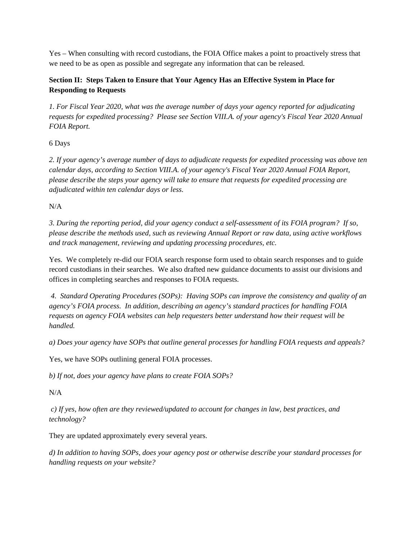Yes – When consulting with record custodians, the FOIA Office makes a point to proactively stress that we need to be as open as possible and segregate any information that can be released.

## **Section II: Steps Taken to Ensure that Your Agency Has an Effective System in Place for Responding to Requests**

*1. For Fiscal Year 2020, what was the average number of days your agency reported for adjudicating requests for expedited processing? Please see Section VIII.A. of your agency's Fiscal Year 2020 Annual FOIA Report.* 

6 Days

*2. If your agency's average number of days to adjudicate requests for expedited processing was above ten calendar days, according to Section VIII.A. of your agency's Fiscal Year 2020 Annual FOIA Report, please describe the steps your agency will take to ensure that requests for expedited processing are adjudicated within ten calendar days or less.* 

N/A

*3. During the reporting period, did your agency conduct a self-assessment of its FOIA program? If so, please describe the methods used, such as reviewing Annual Report or raw data, using active workflows and track management, reviewing and updating processing procedures, etc.* 

Yes. We completely re-did our FOIA search response form used to obtain search responses and to guide record custodians in their searches. We also drafted new guidance documents to assist our divisions and offices in completing searches and responses to FOIA requests.

 *4. Standard Operating Procedures (SOPs): Having SOPs can improve the consistency and quality of an agency's FOIA process. In addition, describing an agency's standard practices for handling FOIA requests on agency FOIA websites can help requesters better understand how their request will be handled.* 

*a) Does your agency have SOPs that outline general processes for handling FOIA requests and appeals?* 

Yes, we have SOPs outlining general FOIA processes.

*b) If not, does your agency have plans to create FOIA SOPs?* 

N/A

 *c) If yes, how often are they reviewed/updated to account for changes in law, best practices, and technology?* 

They are updated approximately every several years.

*d) In addition to having SOPs, does your agency post or otherwise describe your standard processes for handling requests on your website?*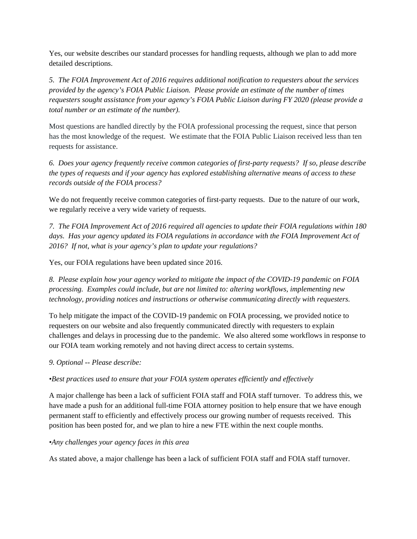Yes, our website describes our standard processes for handling requests, although we plan to add more detailed descriptions.

*5. The FOIA Improvement Act of 2016 requires additional notification to requesters about the services provided by the agency's FOIA Public Liaison. Please provide an estimate of the number of times requesters sought assistance from your agency's FOIA Public Liaison during FY 2020 (please provide a total number or an estimate of the number).* 

Most questions are handled directly by the FOIA professional processing the request, since that person has the most knowledge of the request. We estimate that the FOIA Public Liaison received less than ten requests for assistance.

*6. Does your agency frequently receive common categories of first-party requests? If so, please describe the types of requests and if your agency has explored establishing alternative means of access to these records outside of the FOIA process?* 

We do not frequently receive common categories of first-party requests. Due to the nature of our work, we regularly receive a very wide variety of requests.

*7. The FOIA Improvement Act of 2016 required all agencies to update their FOIA regulations within 180 days. Has your agency updated its FOIA regulations in accordance with the FOIA Improvement Act of 2016? If not, what is your agency's plan to update your regulations?* 

Yes, our FOIA regulations have been updated since 2016.

*8. Please explain how your agency worked to mitigate the impact of the COVID-19 pandemic on FOIA processing. Examples could include, but are not limited to: altering workflows, implementing new technology, providing notices and instructions or otherwise communicating directly with requesters.* 

To help mitigate the impact of the COVID-19 pandemic on FOIA processing, we provided notice to requesters on our website and also frequently communicated directly with requesters to explain challenges and delays in processing due to the pandemic. We also altered some workflows in response to our FOIA team working remotely and not having direct access to certain systems.

*9. Optional -- Please describe:* 

*•Best practices used to ensure that your FOIA system operates efficiently and effectively* 

A major challenge has been a lack of sufficient FOIA staff and FOIA staff turnover. To address this, we have made a push for an additional full-time FOIA attorney position to help ensure that we have enough permanent staff to efficiently and effectively process our growing number of requests received. This position has been posted for, and we plan to hire a new FTE within the next couple months.

#### *•Any challenges your agency faces in this area*

As stated above, a major challenge has been a lack of sufficient FOIA staff and FOIA staff turnover.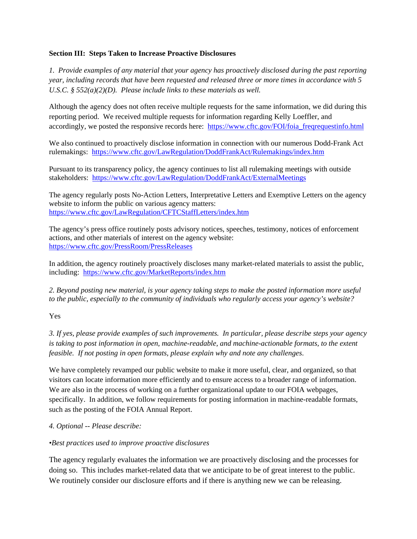#### **Section III: Steps Taken to Increase Proactive Disclosures**

*1. Provide examples of any material that your agency has proactively disclosed during the past reporting year, including records that have been requested and released three or more times in accordance with 5 U.S.C. § 552(a)(2)(D). Please include links to these materials as well.* 

Although the agency does not often receive multiple requests for the same information, we did during this reporting period. We received multiple requests for information regarding Kelly Loeffler, and accordingly, we posted the responsive records here: https://www.cftc.gov/FOI/foia\_freqrequestinfo.html

We also continued to proactively disclose information in connection with our numerous Dodd-Frank Act rulemakings: https://www.cftc.gov/LawRegulation/DoddFrankAct/Rulemakings/index.htm

Pursuant to its transparency policy, the agency continues to list all rulemaking meetings with outside stakeholders: https://www.cftc.gov/LawRegulation/DoddFrankAct/ExternalMeetings

The agency regularly posts No-Action Letters, Interpretative Letters and Exemptive Letters on the agency website to inform the public on various agency matters: https://www.cftc.gov/LawRegulation/CFTCStaffLetters/index.htm

The agency's press office routinely posts advisory notices, speeches, testimony, notices of enforcement actions, and other materials of interest on the agency website: https://www.cftc.gov/PressRoom/PressReleases

In addition, the agency routinely proactively discloses many market-related materials to assist the public, including: https://www.cftc.gov/MarketReports/index.htm

*2. Beyond posting new material, is your agency taking steps to make the posted information more useful to the public, especially to the community of individuals who regularly access your agency's website?* 

Yes

*3. If yes, please provide examples of such improvements. In particular, please describe steps your agency is taking to post information in open, machine-readable, and machine-actionable formats, to the extent feasible. If not posting in open formats, please explain why and note any challenges*.

We have completely revamped our public website to make it more useful, clear, and organized, so that visitors can locate information more efficiently and to ensure access to a broader range of information. We are also in the process of working on a further organizational update to our FOIA webpages, specifically. In addition, we follow requirements for posting information in machine-readable formats, such as the posting of the FOIA Annual Report.

#### *4. Optional -- Please describe:*

#### *•Best practices used to improve proactive disclosures*

The agency regularly evaluates the information we are proactively disclosing and the processes for doing so. This includes market-related data that we anticipate to be of great interest to the public. We routinely consider our disclosure efforts and if there is anything new we can be releasing.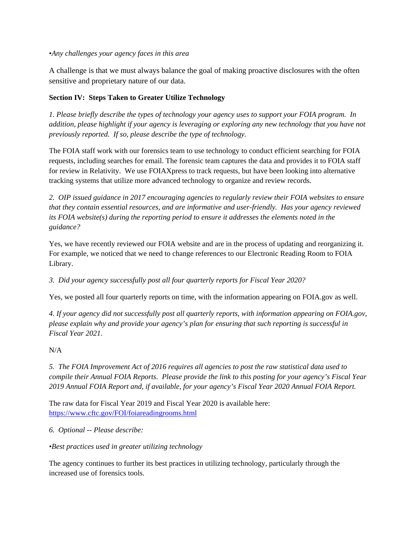•*Any challenges your agency faces in this area*

A challenge is that we must always balance the goal of making proactive disclosures with the often sensitive and proprietary nature of our data.

## **Section IV: Steps Taken to Greater Utilize Technology**

*1. Please briefly describe the types of technology your agency uses to support your FOIA program. In addition, please highlight if your agency is leveraging or exploring any new technology that you have not previously reported. If so, please describe the type of technology.* 

The FOIA staff work with our forensics team to use technology to conduct efficient searching for FOIA requests, including searches for email. The forensic team captures the data and provides it to FOIA staff for review in Relativity. We use FOIAXpress to track requests, but have been looking into alternative tracking systems that utilize more advanced technology to organize and review records.

*2. OIP issued guidance in 2017 encouraging agencies to regularly review their FOIA websites to ensure that they contain essential resources, and are informative and user-friendly. Has your agency reviewed its FOIA website(s) during the reporting period to ensure it addresses the elements noted in the guidance?* 

Yes, we have recently reviewed our FOIA website and are in the process of updating and reorganizing it. For example, we noticed that we need to change references to our Electronic Reading Room to FOIA Library.

*3. Did your agency successfully post all four quarterly reports for Fiscal Year 2020?* 

Yes, we posted all four quarterly reports on time, with the information appearing on FOIA.gov as well.

*4. If your agency did not successfully post all quarterly reports, with information appearing on FOIA.gov, please explain why and provide your agency's plan for ensuring that such reporting is successful in Fiscal Year 2021.* 

N/A

*5. The FOIA Improvement Act of 2016 requires all agencies to post the raw statistical data used to compile their Annual FOIA Reports. Please provide the link to this posting for your agency's Fiscal Year 2019 Annual FOIA Report and, if available, for your agency's Fiscal Year 2020 Annual FOIA Report.* 

The raw data for Fiscal Year 2019 and Fiscal Year 2020 is available here: https://www.cftc.gov/FOI/foiareadingrooms.html

*6. Optional -- Please describe:* 

*•Best practices used in greater utilizing technology* 

The agency continues to further its best practices in utilizing technology, particularly through the increased use of forensics tools.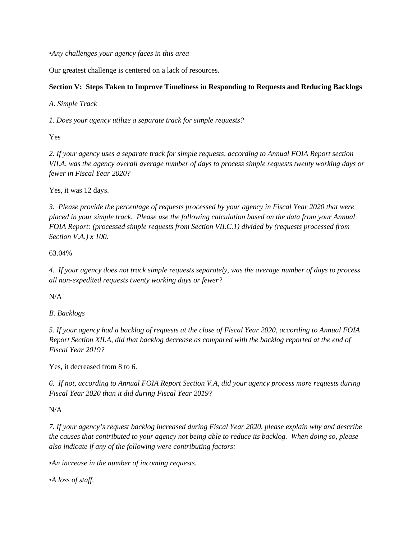*•Any challenges your agency faces in this area* 

Our greatest challenge is centered on a lack of resources.

#### **Section V: Steps Taken to Improve Timeliness in Responding to Requests and Reducing Backlogs**

*A. Simple Track* 

*1. Does your agency utilize a separate track for simple requests?* 

Yes

*2. If your agency uses a separate track for simple requests, according to Annual FOIA Report section VII.A, was the agency overall average number of days to process simple requests twenty working days or fewer in Fiscal Year 2020?* 

Yes, it was 12 days.

*3. Please provide the percentage of requests processed by your agency in Fiscal Year 2020 that were placed in your simple track. Please use the following calculation based on the data from your Annual FOIA Report: (processed simple requests from Section VII.C.1) divided by (requests processed from Section V.A.) x 100.* 

63.04%

*4. If your agency does not track simple requests separately, was the average number of days to process all non-expedited requests twenty working days or fewer?* 

N/A

*B. Backlogs* 

*5. If your agency had a backlog of requests at the close of Fiscal Year 2020, according to Annual FOIA Report Section XII.A, did that backlog decrease as compared with the backlog reported at the end of Fiscal Year 2019?* 

Yes, it decreased from 8 to 6.

*6. If not, according to Annual FOIA Report Section V.A, did your agency process more requests during Fiscal Year 2020 than it did during Fiscal Year 2019?* 

N/A

*7. If your agency's request backlog increased during Fiscal Year 2020, please explain why and describe the causes that contributed to your agency not being able to reduce its backlog. When doing so, please also indicate if any of the following were contributing factors:* 

*•An increase in the number of incoming requests.* 

*•A loss of staff.*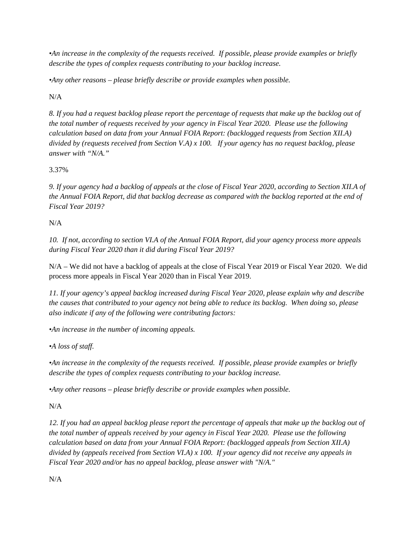*•An increase in the complexity of the requests received. If possible, please provide examples or briefly describe the types of complex requests contributing to your backlog increase.* 

*•Any other reasons – please briefly describe or provide examples when possible.* 

N/A

*8. If you had a request backlog please report the percentage of requests that make up the backlog out of the total number of requests received by your agency in Fiscal Year 2020. Please use the following calculation based on data from your Annual FOIA Report: (backlogged requests from Section XII.A) divided by (requests received from Section V.A) x 100. If your agency has no request backlog, please answer with "N/A."* 

3.37%

*9. If your agency had a backlog of appeals at the close of Fiscal Year 2020, according to Section XII.A of the Annual FOIA Report, did that backlog decrease as compared with the backlog reported at the end of Fiscal Year 2019?* 

N/A

*10. If not, according to section VI.A of the Annual FOIA Report, did your agency process more appeals during Fiscal Year 2020 than it did during Fiscal Year 2019?* 

N/A – We did not have a backlog of appeals at the close of Fiscal Year 2019 or Fiscal Year 2020. We did process more appeals in Fiscal Year 2020 than in Fiscal Year 2019.

*11. If your agency's appeal backlog increased during Fiscal Year 2020, please explain why and describe the causes that contributed to your agency not being able to reduce its backlog. When doing so, please also indicate if any of the following were contributing factors:* 

*•An increase in the number of incoming appeals.* 

*•A loss of staff.* 

*•An increase in the complexity of the requests received. If possible, please provide examples or briefly describe the types of complex requests contributing to your backlog increase.* 

*•Any other reasons – please briefly describe or provide examples when possible.* 

N/A

*12. If you had an appeal backlog please report the percentage of appeals that make up the backlog out of the total number of appeals received by your agency in Fiscal Year 2020. Please use the following calculation based on data from your Annual FOIA Report: (backlogged appeals from Section XII.A) divided by (appeals received from Section VI.A) x 100. If your agency did not receive any appeals in Fiscal Year 2020 and/or has no appeal backlog, please answer with "N/A."* 

N/A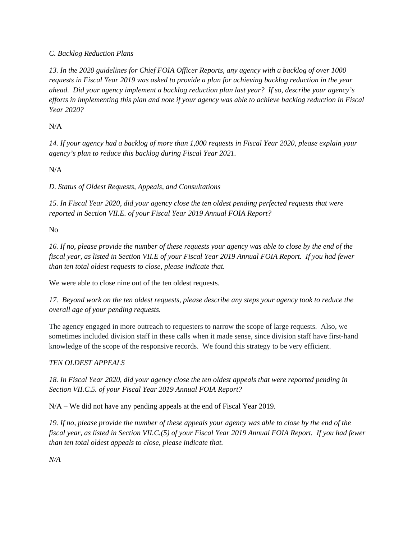## *C. Backlog Reduction Plans*

*13. In the 2020 guidelines for Chief FOIA Officer Reports, any agency with a backlog of over 1000 requests in Fiscal Year 2019 was asked to provide a plan for achieving backlog reduction in the year ahead. Did your agency implement a backlog reduction plan last year? If so, describe your agency's efforts in implementing this plan and note if your agency was able to achieve backlog reduction in Fiscal Year 2020?* 

N/A

*14. If your agency had a backlog of more than 1,000 requests in Fiscal Year 2020, please explain your agency's plan to reduce this backlog during Fiscal Year 2021.* 

N/A

*D. Status of Oldest Requests, Appeals, and Consultations* 

*15. In Fiscal Year 2020, did your agency close the ten oldest pending perfected requests that were reported in Section VII.E. of your Fiscal Year 2019 Annual FOIA Report?* 

No

*16. If no, please provide the number of these requests your agency was able to close by the end of the fiscal year, as listed in Section VII.E of your Fiscal Year 2019 Annual FOIA Report. If you had fewer than ten total oldest requests to close, please indicate that.* 

We were able to close nine out of the ten oldest requests.

*17. Beyond work on the ten oldest requests, please describe any steps your agency took to reduce the overall age of your pending requests.* 

The agency engaged in more outreach to requesters to narrow the scope of large requests. Also, we sometimes included division staff in these calls when it made sense, since division staff have first-hand knowledge of the scope of the responsive records. We found this strategy to be very efficient.

## *TEN OLDEST APPEALS*

*18. In Fiscal Year 2020, did your agency close the ten oldest appeals that were reported pending in Section VII.C.5. of your Fiscal Year 2019 Annual FOIA Report?* 

N/A – We did not have any pending appeals at the end of Fiscal Year 2019.

*19. If no, please provide the number of these appeals your agency was able to close by the end of the fiscal year, as listed in Section VII.C.(5) of your Fiscal Year 2019 Annual FOIA Report. If you had fewer than ten total oldest appeals to close, please indicate that.* 

*N/A*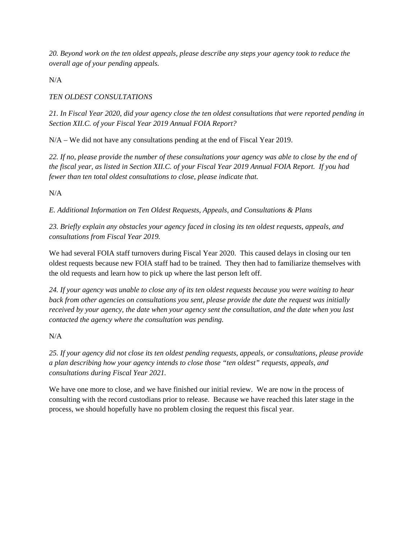*20. Beyond work on the ten oldest appeals, please describe any steps your agency took to reduce the overall age of your pending appeals.* 

N/A

## *TEN OLDEST CONSULTATIONS*

*21. In Fiscal Year 2020, did your agency close the ten oldest consultations that were reported pending in Section XII.C. of your Fiscal Year 2019 Annual FOIA Report?* 

 $N/A - We$  did not have any consultations pending at the end of Fiscal Year 2019.

*22. If no, please provide the number of these consultations your agency was able to close by the end of the fiscal year, as listed in Section XII.C. of your Fiscal Year 2019 Annual FOIA Report. If you had fewer than ten total oldest consultations to close, please indicate that.* 

N/A

*E. Additional Information on Ten Oldest Requests, Appeals, and Consultations & Plans* 

*23. Briefly explain any obstacles your agency faced in closing its ten oldest requests, appeals, and consultations from Fiscal Year 2019.* 

We had several FOIA staff turnovers during Fiscal Year 2020. This caused delays in closing our ten oldest requests because new FOIA staff had to be trained. They then had to familiarize themselves with the old requests and learn how to pick up where the last person left off.

*24. If your agency was unable to close any of its ten oldest requests because you were waiting to hear back from other agencies on consultations you sent, please provide the date the request was initially received by your agency, the date when your agency sent the consultation, and the date when you last contacted the agency where the consultation was pending.* 

N/A

*25. If your agency did not close its ten oldest pending requests, appeals, or consultations, please provide a plan describing how your agency intends to close those "ten oldest" requests, appeals, and consultations during Fiscal Year 2021.* 

We have one more to close, and we have finished our initial review. We are now in the process of consulting with the record custodians prior to release. Because we have reached this later stage in the process, we should hopefully have no problem closing the request this fiscal year.